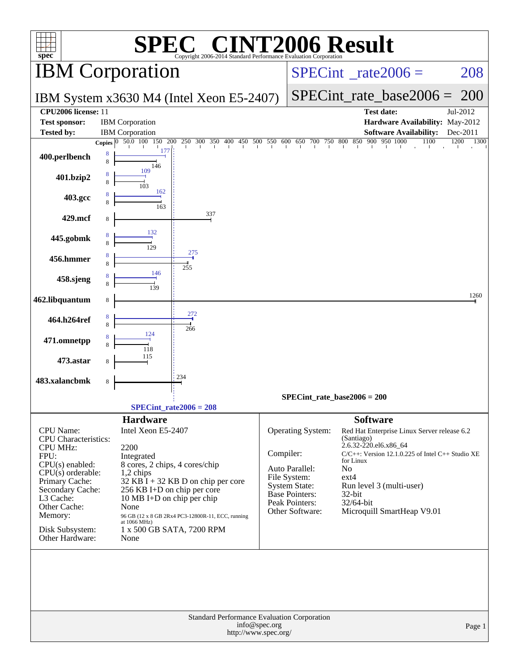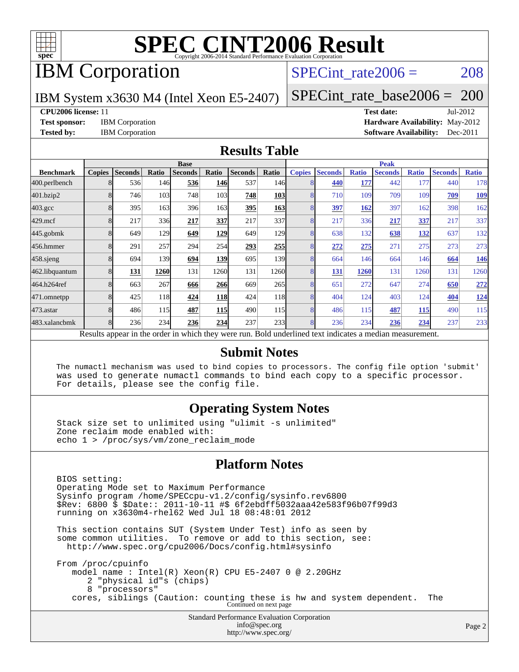

# IBM Corporation

### SPECint rate $2006 = 208$

IBM System x3630 M4 (Intel Xeon E5-2407)

[SPECint\\_rate\\_base2006 =](http://www.spec.org/auto/cpu2006/Docs/result-fields.html#SPECintratebase2006) 200

### **[CPU2006 license:](http://www.spec.org/auto/cpu2006/Docs/result-fields.html#CPU2006license)** 11 **[Test date:](http://www.spec.org/auto/cpu2006/Docs/result-fields.html#Testdate)** Jul-2012

**[Test sponsor:](http://www.spec.org/auto/cpu2006/Docs/result-fields.html#Testsponsor)** IBM Corporation **[Hardware Availability:](http://www.spec.org/auto/cpu2006/Docs/result-fields.html#HardwareAvailability)** May-2012 **[Tested by:](http://www.spec.org/auto/cpu2006/Docs/result-fields.html#Testedby)** IBM Corporation **[Software Availability:](http://www.spec.org/auto/cpu2006/Docs/result-fields.html#SoftwareAvailability)** Dec-2011

### **[Results Table](http://www.spec.org/auto/cpu2006/Docs/result-fields.html#ResultsTable)**

|                    | <b>Base</b>             |                |       |                                                                                                          |            |                |                  | <b>Peak</b>   |                |              |                |              |                |              |
|--------------------|-------------------------|----------------|-------|----------------------------------------------------------------------------------------------------------|------------|----------------|------------------|---------------|----------------|--------------|----------------|--------------|----------------|--------------|
| <b>Benchmark</b>   | <b>Copies</b>           | <b>Seconds</b> | Ratio | <b>Seconds</b>                                                                                           | Ratio      | <b>Seconds</b> | Ratio            | <b>Copies</b> | <b>Seconds</b> | <b>Ratio</b> | <b>Seconds</b> | <b>Ratio</b> | <b>Seconds</b> | <b>Ratio</b> |
| 400.perlbench      | 8                       | 536            | 146   | 536                                                                                                      | 146        | 537            | 146 <sup>I</sup> |               | 440            | 177          | 442            | 177          | 440            | 178          |
| 401.bzip2          | 8                       | 746            | 103   | 748                                                                                                      | 103        | 748            | <b>103</b>       |               | 710            | 109          | 709            | 109          | 709            | <u>109</u>   |
| $403.\mathrm{gcc}$ |                         | 395            | 163   | 396                                                                                                      | 163        | 395            | 163              |               | 397            | 162          | 397            | 162          | 398            | 162          |
| $429$ .mcf         | 8                       | 217            | 336   | 217                                                                                                      | 337        | 217            | 337              | 8             | 217            | 336          | 217            | 337          | 217            | 337          |
| $445$ .gobmk       | 8                       | 649            | 129   | 649                                                                                                      | 129        | 649            | 129              | 8             | 638            | 132          | 638            | <u>132</u>   | 637            | 132          |
| 456.hmmer          | 8                       | 291            | 257   | 294                                                                                                      | 254        | 293            | 255              | 8             | 272            | 275          | 271            | 275          | 273            | 273          |
| $458$ .sjeng       | 8                       | 694            | 139   | 694                                                                                                      | 139        | 695            | 139              | 8             | 664            | 146          | 664            | 146          | 664            | <u>146</u>   |
| 462.libquantum     | 8                       | 131            | 1260  | 131                                                                                                      | 1260       | 131            | 1260             | 8             | 131            | 1260         | 131            | 1260         | 131            | 1260         |
| 464.h264ref        | 8                       | 663            | 267   | 666                                                                                                      | 266        | 669            | 265              | 8             | 651            | 272          | 647            | 274          | 650            | 272          |
| 471.omnetpp        |                         | 425            | 118   | 424                                                                                                      | <b>118</b> | 424            | 118              | 8             | 404            | 124          | 403            | 124          | 404            | <u>124</u>   |
| 473.astar          | $\mathsf{\overline{R}}$ | 486            | 115   | 487                                                                                                      | <b>115</b> | 490            | 115              | 8             | 486            | 115          | 487            | 115          | 490            | 115          |
| 483.xalancbmk      | 8                       | 236            | 234   | 236                                                                                                      | 234        | 237            | 233              | 8             | 236            | 234          | 236            | 234          | 237            | 233          |
|                    |                         |                |       | Results appear in the order in which they were run. Bold underlined text indicates a median measurement. |            |                |                  |               |                |              |                |              |                |              |

### **[Submit Notes](http://www.spec.org/auto/cpu2006/Docs/result-fields.html#SubmitNotes)**

 The numactl mechanism was used to bind copies to processors. The config file option 'submit' was used to generate numactl commands to bind each copy to a specific processor. For details, please see the config file.

### **[Operating System Notes](http://www.spec.org/auto/cpu2006/Docs/result-fields.html#OperatingSystemNotes)**

 Stack size set to unlimited using "ulimit -s unlimited" Zone reclaim mode enabled with: echo 1 > /proc/sys/vm/zone\_reclaim\_mode

### **[Platform Notes](http://www.spec.org/auto/cpu2006/Docs/result-fields.html#PlatformNotes)**

Standard Performance Evaluation Corporation [info@spec.org](mailto:info@spec.org) BIOS setting: Operating Mode set to Maximum Performance Sysinfo program /home/SPECcpu-v1.2/config/sysinfo.rev6800 \$Rev: 6800 \$ \$Date:: 2011-10-11 #\$ 6f2ebdff5032aaa42e583f96b07f99d3 running on x3630m4-rhel62 Wed Jul 18 08:48:01 2012 This section contains SUT (System Under Test) info as seen by some common utilities. To remove or add to this section, see: <http://www.spec.org/cpu2006/Docs/config.html#sysinfo> From /proc/cpuinfo model name : Intel(R) Xeon(R) CPU E5-2407 0 @ 2.20GHz 2 "physical id"s (chips) 8 "processors" cores, siblings (Caution: counting these is hw and system dependent. The Continued on next page

<http://www.spec.org/>

Page 2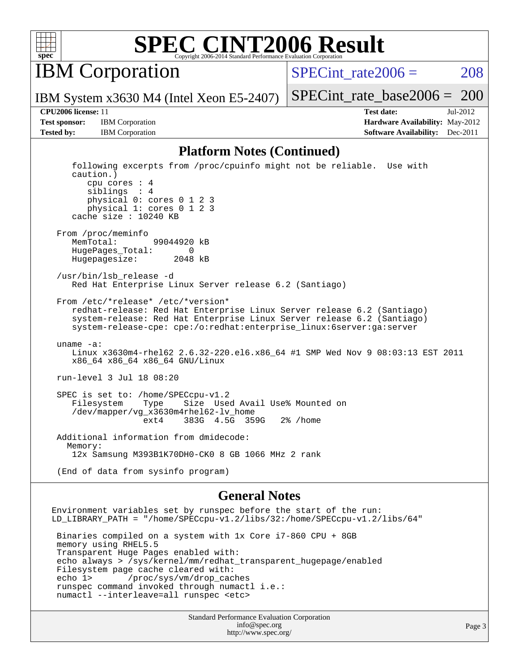

IBM Corporation

SPECint rate $2006 = 208$ 

[SPECint\\_rate\\_base2006 =](http://www.spec.org/auto/cpu2006/Docs/result-fields.html#SPECintratebase2006) 200

IBM System x3630 M4 (Intel Xeon E5-2407)

**[CPU2006 license:](http://www.spec.org/auto/cpu2006/Docs/result-fields.html#CPU2006license)** 11 **[Test date:](http://www.spec.org/auto/cpu2006/Docs/result-fields.html#Testdate)** Jul-2012 **[Test sponsor:](http://www.spec.org/auto/cpu2006/Docs/result-fields.html#Testsponsor)** IBM Corporation **[Hardware Availability:](http://www.spec.org/auto/cpu2006/Docs/result-fields.html#HardwareAvailability)** May-2012 **[Tested by:](http://www.spec.org/auto/cpu2006/Docs/result-fields.html#Testedby)** IBM Corporation **IBM** Corporation **[Software Availability:](http://www.spec.org/auto/cpu2006/Docs/result-fields.html#SoftwareAvailability)** Dec-2011

### **[Platform Notes \(Continued\)](http://www.spec.org/auto/cpu2006/Docs/result-fields.html#PlatformNotes)**

 following excerpts from /proc/cpuinfo might not be reliable. Use with caution.) cpu cores : 4 siblings : 4 physical 0: cores 0 1 2 3 physical 1: cores 0 1 2 3 cache size : 10240 KB From /proc/meminfo MemTotal: 99044920 kB HugePages\_Total: 0 Hugepagesize: 2048 kB /usr/bin/lsb\_release -d Red Hat Enterprise Linux Server release 6.2 (Santiago) From /etc/\*release\* /etc/\*version\* redhat-release: Red Hat Enterprise Linux Server release 6.2 (Santiago) system-release: Red Hat Enterprise Linux Server release 6.2 (Santiago) system-release-cpe: cpe:/o:redhat:enterprise\_linux:6server:ga:server uname -a: Linux x3630m4-rhel62 2.6.32-220.el6.x86\_64 #1 SMP Wed Nov 9 08:03:13 EST 2011 x86\_64 x86\_64 x86\_64 GNU/Linux run-level 3 Jul 18 08:20 SPEC is set to: /home/SPECcpu-v1.2<br>Filesystem Type Size Use Filesystem Type Size Used Avail Use% Mounted on /dev/mapper/vg\_x3630m4rhel62-lv\_home ext4 383G 4.5G 359G 2% /home Additional information from dmidecode: Memory: 12x Samsung M393B1K70DH0-CK0 8 GB 1066 MHz 2 rank (End of data from sysinfo program)

### **[General Notes](http://www.spec.org/auto/cpu2006/Docs/result-fields.html#GeneralNotes)**

Environment variables set by runspec before the start of the run: LD\_LIBRARY\_PATH = "/home/SPECcpu-v1.2/libs/32:/home/SPECcpu-v1.2/libs/64" Binaries compiled on a system with 1x Core i7-860 CPU + 8GB memory using RHEL5.5 Transparent Huge Pages enabled with: echo always > /sys/kernel/mm/redhat\_transparent\_hugepage/enabled Filesystem page cache cleared with: echo 1> /proc/sys/vm/drop\_caches runspec command invoked through numactl i.e.: numactl --interleave=all runspec <etc>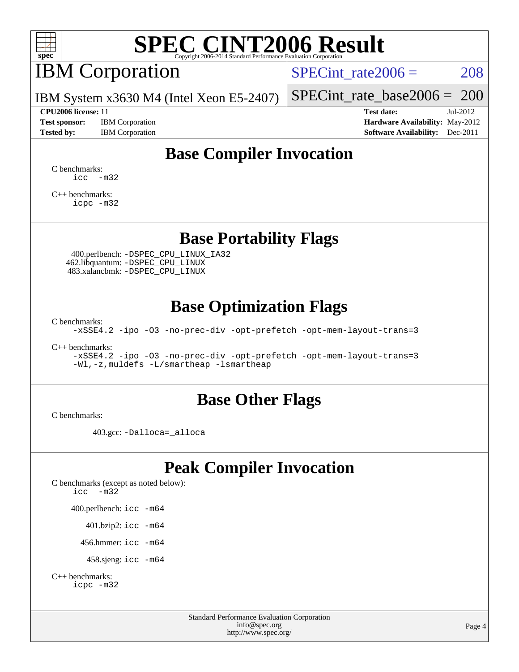

# IBM Corporation

SPECint rate $2006 = 208$ 

IBM System x3630 M4 (Intel Xeon E5-2407)

**[Test sponsor:](http://www.spec.org/auto/cpu2006/Docs/result-fields.html#Testsponsor)** IBM Corporation **[Hardware Availability:](http://www.spec.org/auto/cpu2006/Docs/result-fields.html#HardwareAvailability)** May-2012

[SPECint\\_rate\\_base2006 =](http://www.spec.org/auto/cpu2006/Docs/result-fields.html#SPECintratebase2006) 200 **[CPU2006 license:](http://www.spec.org/auto/cpu2006/Docs/result-fields.html#CPU2006license)** 11 **[Test date:](http://www.spec.org/auto/cpu2006/Docs/result-fields.html#Testdate)** Jul-2012

**[Tested by:](http://www.spec.org/auto/cpu2006/Docs/result-fields.html#Testedby)** IBM Corporation **[Software Availability:](http://www.spec.org/auto/cpu2006/Docs/result-fields.html#SoftwareAvailability)** Dec-2011

## **[Base Compiler Invocation](http://www.spec.org/auto/cpu2006/Docs/result-fields.html#BaseCompilerInvocation)**

[C benchmarks](http://www.spec.org/auto/cpu2006/Docs/result-fields.html#Cbenchmarks):  $\text{icc}$   $-\text{m32}$ 

[C++ benchmarks:](http://www.spec.org/auto/cpu2006/Docs/result-fields.html#CXXbenchmarks) [icpc -m32](http://www.spec.org/cpu2006/results/res2012q3/cpu2006-20120725-23856.flags.html#user_CXXbase_intel_icpc_4e5a5ef1a53fd332b3c49e69c3330699)

### **[Base Portability Flags](http://www.spec.org/auto/cpu2006/Docs/result-fields.html#BasePortabilityFlags)**

 400.perlbench: [-DSPEC\\_CPU\\_LINUX\\_IA32](http://www.spec.org/cpu2006/results/res2012q3/cpu2006-20120725-23856.flags.html#b400.perlbench_baseCPORTABILITY_DSPEC_CPU_LINUX_IA32) 462.libquantum: [-DSPEC\\_CPU\\_LINUX](http://www.spec.org/cpu2006/results/res2012q3/cpu2006-20120725-23856.flags.html#b462.libquantum_baseCPORTABILITY_DSPEC_CPU_LINUX) 483.xalancbmk: [-DSPEC\\_CPU\\_LINUX](http://www.spec.org/cpu2006/results/res2012q3/cpu2006-20120725-23856.flags.html#b483.xalancbmk_baseCXXPORTABILITY_DSPEC_CPU_LINUX)

### **[Base Optimization Flags](http://www.spec.org/auto/cpu2006/Docs/result-fields.html#BaseOptimizationFlags)**

[C benchmarks](http://www.spec.org/auto/cpu2006/Docs/result-fields.html#Cbenchmarks):

[-xSSE4.2](http://www.spec.org/cpu2006/results/res2012q3/cpu2006-20120725-23856.flags.html#user_CCbase_f-xSSE42_f91528193cf0b216347adb8b939d4107) [-ipo](http://www.spec.org/cpu2006/results/res2012q3/cpu2006-20120725-23856.flags.html#user_CCbase_f-ipo) [-O3](http://www.spec.org/cpu2006/results/res2012q3/cpu2006-20120725-23856.flags.html#user_CCbase_f-O3) [-no-prec-div](http://www.spec.org/cpu2006/results/res2012q3/cpu2006-20120725-23856.flags.html#user_CCbase_f-no-prec-div) [-opt-prefetch](http://www.spec.org/cpu2006/results/res2012q3/cpu2006-20120725-23856.flags.html#user_CCbase_f-opt-prefetch) [-opt-mem-layout-trans=3](http://www.spec.org/cpu2006/results/res2012q3/cpu2006-20120725-23856.flags.html#user_CCbase_f-opt-mem-layout-trans_a7b82ad4bd7abf52556d4961a2ae94d5)

[C++ benchmarks:](http://www.spec.org/auto/cpu2006/Docs/result-fields.html#CXXbenchmarks)

[-xSSE4.2](http://www.spec.org/cpu2006/results/res2012q3/cpu2006-20120725-23856.flags.html#user_CXXbase_f-xSSE42_f91528193cf0b216347adb8b939d4107) [-ipo](http://www.spec.org/cpu2006/results/res2012q3/cpu2006-20120725-23856.flags.html#user_CXXbase_f-ipo) [-O3](http://www.spec.org/cpu2006/results/res2012q3/cpu2006-20120725-23856.flags.html#user_CXXbase_f-O3) [-no-prec-div](http://www.spec.org/cpu2006/results/res2012q3/cpu2006-20120725-23856.flags.html#user_CXXbase_f-no-prec-div) [-opt-prefetch](http://www.spec.org/cpu2006/results/res2012q3/cpu2006-20120725-23856.flags.html#user_CXXbase_f-opt-prefetch) [-opt-mem-layout-trans=3](http://www.spec.org/cpu2006/results/res2012q3/cpu2006-20120725-23856.flags.html#user_CXXbase_f-opt-mem-layout-trans_a7b82ad4bd7abf52556d4961a2ae94d5) [-Wl,-z,muldefs](http://www.spec.org/cpu2006/results/res2012q3/cpu2006-20120725-23856.flags.html#user_CXXbase_link_force_multiple1_74079c344b956b9658436fd1b6dd3a8a) [-L/smartheap -lsmartheap](http://www.spec.org/cpu2006/results/res2012q3/cpu2006-20120725-23856.flags.html#user_CXXbase_SmartHeap_7c9e394a5779e1a7fec7c221e123830c)

### **[Base Other Flags](http://www.spec.org/auto/cpu2006/Docs/result-fields.html#BaseOtherFlags)**

[C benchmarks](http://www.spec.org/auto/cpu2006/Docs/result-fields.html#Cbenchmarks):

403.gcc: [-Dalloca=\\_alloca](http://www.spec.org/cpu2006/results/res2012q3/cpu2006-20120725-23856.flags.html#b403.gcc_baseEXTRA_CFLAGS_Dalloca_be3056838c12de2578596ca5467af7f3)

## **[Peak Compiler Invocation](http://www.spec.org/auto/cpu2006/Docs/result-fields.html#PeakCompilerInvocation)**

[C benchmarks \(except as noted below\)](http://www.spec.org/auto/cpu2006/Docs/result-fields.html#Cbenchmarksexceptasnotedbelow): [icc -m32](http://www.spec.org/cpu2006/results/res2012q3/cpu2006-20120725-23856.flags.html#user_CCpeak_intel_icc_5ff4a39e364c98233615fdd38438c6f2) 400.perlbench: [icc -m64](http://www.spec.org/cpu2006/results/res2012q3/cpu2006-20120725-23856.flags.html#user_peakCCLD400_perlbench_intel_icc_64bit_bda6cc9af1fdbb0edc3795bac97ada53) 401.bzip2: [icc -m64](http://www.spec.org/cpu2006/results/res2012q3/cpu2006-20120725-23856.flags.html#user_peakCCLD401_bzip2_intel_icc_64bit_bda6cc9af1fdbb0edc3795bac97ada53)

456.hmmer: [icc -m64](http://www.spec.org/cpu2006/results/res2012q3/cpu2006-20120725-23856.flags.html#user_peakCCLD456_hmmer_intel_icc_64bit_bda6cc9af1fdbb0edc3795bac97ada53)

458.sjeng: [icc -m64](http://www.spec.org/cpu2006/results/res2012q3/cpu2006-20120725-23856.flags.html#user_peakCCLD458_sjeng_intel_icc_64bit_bda6cc9af1fdbb0edc3795bac97ada53)

```
C++ benchmarks: 
icpc -m32
```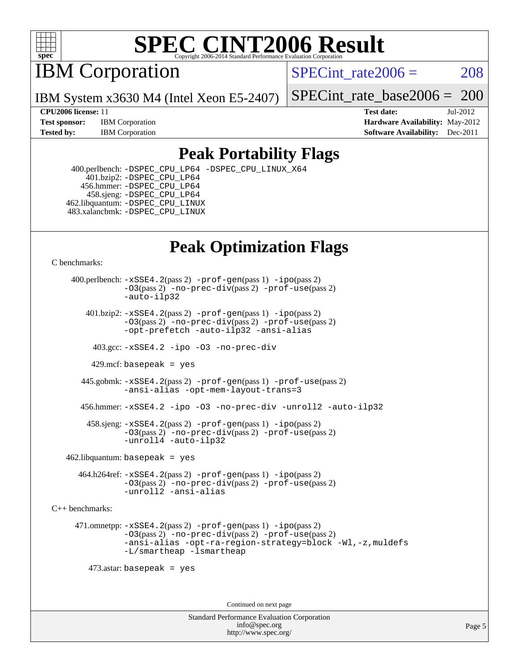

IBM Corporation

SPECint rate $2006 = 208$ 

IBM System x3630 M4 (Intel Xeon E5-2407)

[SPECint\\_rate\\_base2006 =](http://www.spec.org/auto/cpu2006/Docs/result-fields.html#SPECintratebase2006) 200

**[Test sponsor:](http://www.spec.org/auto/cpu2006/Docs/result-fields.html#Testsponsor)** IBM Corporation **[Hardware Availability:](http://www.spec.org/auto/cpu2006/Docs/result-fields.html#HardwareAvailability)** May-2012

**[CPU2006 license:](http://www.spec.org/auto/cpu2006/Docs/result-fields.html#CPU2006license)** 11 **[Test date:](http://www.spec.org/auto/cpu2006/Docs/result-fields.html#Testdate)** Jul-2012 **[Tested by:](http://www.spec.org/auto/cpu2006/Docs/result-fields.html#Testedby)** IBM Corporation **[Software Availability:](http://www.spec.org/auto/cpu2006/Docs/result-fields.html#SoftwareAvailability)** Dec-2011

## **[Peak Portability Flags](http://www.spec.org/auto/cpu2006/Docs/result-fields.html#PeakPortabilityFlags)**

 400.perlbench: [-DSPEC\\_CPU\\_LP64](http://www.spec.org/cpu2006/results/res2012q3/cpu2006-20120725-23856.flags.html#b400.perlbench_peakCPORTABILITY_DSPEC_CPU_LP64) [-DSPEC\\_CPU\\_LINUX\\_X64](http://www.spec.org/cpu2006/results/res2012q3/cpu2006-20120725-23856.flags.html#b400.perlbench_peakCPORTABILITY_DSPEC_CPU_LINUX_X64) 401.bzip2: [-DSPEC\\_CPU\\_LP64](http://www.spec.org/cpu2006/results/res2012q3/cpu2006-20120725-23856.flags.html#suite_peakCPORTABILITY401_bzip2_DSPEC_CPU_LP64) 456.hmmer: [-DSPEC\\_CPU\\_LP64](http://www.spec.org/cpu2006/results/res2012q3/cpu2006-20120725-23856.flags.html#suite_peakCPORTABILITY456_hmmer_DSPEC_CPU_LP64) 458.sjeng: [-DSPEC\\_CPU\\_LP64](http://www.spec.org/cpu2006/results/res2012q3/cpu2006-20120725-23856.flags.html#suite_peakCPORTABILITY458_sjeng_DSPEC_CPU_LP64) 462.libquantum: [-DSPEC\\_CPU\\_LINUX](http://www.spec.org/cpu2006/results/res2012q3/cpu2006-20120725-23856.flags.html#b462.libquantum_peakCPORTABILITY_DSPEC_CPU_LINUX) 483.xalancbmk: [-DSPEC\\_CPU\\_LINUX](http://www.spec.org/cpu2006/results/res2012q3/cpu2006-20120725-23856.flags.html#b483.xalancbmk_peakCXXPORTABILITY_DSPEC_CPU_LINUX)

## **[Peak Optimization Flags](http://www.spec.org/auto/cpu2006/Docs/result-fields.html#PeakOptimizationFlags)**

[C benchmarks](http://www.spec.org/auto/cpu2006/Docs/result-fields.html#Cbenchmarks):

 400.perlbench: [-xSSE4.2](http://www.spec.org/cpu2006/results/res2012q3/cpu2006-20120725-23856.flags.html#user_peakPASS2_CFLAGSPASS2_LDCFLAGS400_perlbench_f-xSSE42_f91528193cf0b216347adb8b939d4107)(pass 2) [-prof-gen](http://www.spec.org/cpu2006/results/res2012q3/cpu2006-20120725-23856.flags.html#user_peakPASS1_CFLAGSPASS1_LDCFLAGS400_perlbench_prof_gen_e43856698f6ca7b7e442dfd80e94a8fc)(pass 1) [-ipo](http://www.spec.org/cpu2006/results/res2012q3/cpu2006-20120725-23856.flags.html#user_peakPASS2_CFLAGSPASS2_LDCFLAGS400_perlbench_f-ipo)(pass 2) [-O3](http://www.spec.org/cpu2006/results/res2012q3/cpu2006-20120725-23856.flags.html#user_peakPASS2_CFLAGSPASS2_LDCFLAGS400_perlbench_f-O3)(pass 2) [-no-prec-div](http://www.spec.org/cpu2006/results/res2012q3/cpu2006-20120725-23856.flags.html#user_peakPASS2_CFLAGSPASS2_LDCFLAGS400_perlbench_f-no-prec-div)(pass 2) [-prof-use](http://www.spec.org/cpu2006/results/res2012q3/cpu2006-20120725-23856.flags.html#user_peakPASS2_CFLAGSPASS2_LDCFLAGS400_perlbench_prof_use_bccf7792157ff70d64e32fe3e1250b55)(pass 2) [-auto-ilp32](http://www.spec.org/cpu2006/results/res2012q3/cpu2006-20120725-23856.flags.html#user_peakCOPTIMIZE400_perlbench_f-auto-ilp32)  $401.bzip2: -xSSE4.2(pass 2) -prof-qen(pass 1) -ipo(pass 2)$  $401.bzip2: -xSSE4.2(pass 2) -prof-qen(pass 1) -ipo(pass 2)$  $401.bzip2: -xSSE4.2(pass 2) -prof-qen(pass 1) -ipo(pass 2)$  $401.bzip2: -xSSE4.2(pass 2) -prof-qen(pass 1) -ipo(pass 2)$  $401.bzip2: -xSSE4.2(pass 2) -prof-qen(pass 1) -ipo(pass 2)$ [-O3](http://www.spec.org/cpu2006/results/res2012q3/cpu2006-20120725-23856.flags.html#user_peakPASS2_CFLAGSPASS2_LDCFLAGS401_bzip2_f-O3)(pass 2) [-no-prec-div](http://www.spec.org/cpu2006/results/res2012q3/cpu2006-20120725-23856.flags.html#user_peakPASS2_CFLAGSPASS2_LDCFLAGS401_bzip2_f-no-prec-div)(pass 2) [-prof-use](http://www.spec.org/cpu2006/results/res2012q3/cpu2006-20120725-23856.flags.html#user_peakPASS2_CFLAGSPASS2_LDCFLAGS401_bzip2_prof_use_bccf7792157ff70d64e32fe3e1250b55)(pass 2) [-opt-prefetch](http://www.spec.org/cpu2006/results/res2012q3/cpu2006-20120725-23856.flags.html#user_peakCOPTIMIZE401_bzip2_f-opt-prefetch) [-auto-ilp32](http://www.spec.org/cpu2006/results/res2012q3/cpu2006-20120725-23856.flags.html#user_peakCOPTIMIZE401_bzip2_f-auto-ilp32) [-ansi-alias](http://www.spec.org/cpu2006/results/res2012q3/cpu2006-20120725-23856.flags.html#user_peakCOPTIMIZE401_bzip2_f-ansi-alias) 403.gcc: [-xSSE4.2](http://www.spec.org/cpu2006/results/res2012q3/cpu2006-20120725-23856.flags.html#user_peakCOPTIMIZE403_gcc_f-xSSE42_f91528193cf0b216347adb8b939d4107) [-ipo](http://www.spec.org/cpu2006/results/res2012q3/cpu2006-20120725-23856.flags.html#user_peakCOPTIMIZE403_gcc_f-ipo) [-O3](http://www.spec.org/cpu2006/results/res2012q3/cpu2006-20120725-23856.flags.html#user_peakCOPTIMIZE403_gcc_f-O3) [-no-prec-div](http://www.spec.org/cpu2006/results/res2012q3/cpu2006-20120725-23856.flags.html#user_peakCOPTIMIZE403_gcc_f-no-prec-div) 429.mcf: basepeak = yes 445.gobmk: [-xSSE4.2](http://www.spec.org/cpu2006/results/res2012q3/cpu2006-20120725-23856.flags.html#user_peakPASS2_CFLAGSPASS2_LDCFLAGS445_gobmk_f-xSSE42_f91528193cf0b216347adb8b939d4107)(pass 2) [-prof-gen](http://www.spec.org/cpu2006/results/res2012q3/cpu2006-20120725-23856.flags.html#user_peakPASS1_CFLAGSPASS1_LDCFLAGS445_gobmk_prof_gen_e43856698f6ca7b7e442dfd80e94a8fc)(pass 1) [-prof-use](http://www.spec.org/cpu2006/results/res2012q3/cpu2006-20120725-23856.flags.html#user_peakPASS2_CFLAGSPASS2_LDCFLAGS445_gobmk_prof_use_bccf7792157ff70d64e32fe3e1250b55)(pass 2) [-ansi-alias](http://www.spec.org/cpu2006/results/res2012q3/cpu2006-20120725-23856.flags.html#user_peakCOPTIMIZE445_gobmk_f-ansi-alias) [-opt-mem-layout-trans=3](http://www.spec.org/cpu2006/results/res2012q3/cpu2006-20120725-23856.flags.html#user_peakCOPTIMIZE445_gobmk_f-opt-mem-layout-trans_a7b82ad4bd7abf52556d4961a2ae94d5) 456.hmmer: [-xSSE4.2](http://www.spec.org/cpu2006/results/res2012q3/cpu2006-20120725-23856.flags.html#user_peakCOPTIMIZE456_hmmer_f-xSSE42_f91528193cf0b216347adb8b939d4107) [-ipo](http://www.spec.org/cpu2006/results/res2012q3/cpu2006-20120725-23856.flags.html#user_peakCOPTIMIZE456_hmmer_f-ipo) [-O3](http://www.spec.org/cpu2006/results/res2012q3/cpu2006-20120725-23856.flags.html#user_peakCOPTIMIZE456_hmmer_f-O3) [-no-prec-div](http://www.spec.org/cpu2006/results/res2012q3/cpu2006-20120725-23856.flags.html#user_peakCOPTIMIZE456_hmmer_f-no-prec-div) [-unroll2](http://www.spec.org/cpu2006/results/res2012q3/cpu2006-20120725-23856.flags.html#user_peakCOPTIMIZE456_hmmer_f-unroll_784dae83bebfb236979b41d2422d7ec2) [-auto-ilp32](http://www.spec.org/cpu2006/results/res2012q3/cpu2006-20120725-23856.flags.html#user_peakCOPTIMIZE456_hmmer_f-auto-ilp32) 458.sjeng: [-xSSE4.2](http://www.spec.org/cpu2006/results/res2012q3/cpu2006-20120725-23856.flags.html#user_peakPASS2_CFLAGSPASS2_LDCFLAGS458_sjeng_f-xSSE42_f91528193cf0b216347adb8b939d4107)(pass 2) [-prof-gen](http://www.spec.org/cpu2006/results/res2012q3/cpu2006-20120725-23856.flags.html#user_peakPASS1_CFLAGSPASS1_LDCFLAGS458_sjeng_prof_gen_e43856698f6ca7b7e442dfd80e94a8fc)(pass 1) [-ipo](http://www.spec.org/cpu2006/results/res2012q3/cpu2006-20120725-23856.flags.html#user_peakPASS2_CFLAGSPASS2_LDCFLAGS458_sjeng_f-ipo)(pass 2) [-O3](http://www.spec.org/cpu2006/results/res2012q3/cpu2006-20120725-23856.flags.html#user_peakPASS2_CFLAGSPASS2_LDCFLAGS458_sjeng_f-O3)(pass 2) [-no-prec-div](http://www.spec.org/cpu2006/results/res2012q3/cpu2006-20120725-23856.flags.html#user_peakPASS2_CFLAGSPASS2_LDCFLAGS458_sjeng_f-no-prec-div)(pass 2) [-prof-use](http://www.spec.org/cpu2006/results/res2012q3/cpu2006-20120725-23856.flags.html#user_peakPASS2_CFLAGSPASS2_LDCFLAGS458_sjeng_prof_use_bccf7792157ff70d64e32fe3e1250b55)(pass 2) [-unroll4](http://www.spec.org/cpu2006/results/res2012q3/cpu2006-20120725-23856.flags.html#user_peakCOPTIMIZE458_sjeng_f-unroll_4e5e4ed65b7fd20bdcd365bec371b81f) [-auto-ilp32](http://www.spec.org/cpu2006/results/res2012q3/cpu2006-20120725-23856.flags.html#user_peakCOPTIMIZE458_sjeng_f-auto-ilp32)  $462$ .libquantum: basepeak = yes 464.h264ref: [-xSSE4.2](http://www.spec.org/cpu2006/results/res2012q3/cpu2006-20120725-23856.flags.html#user_peakPASS2_CFLAGSPASS2_LDCFLAGS464_h264ref_f-xSSE42_f91528193cf0b216347adb8b939d4107)(pass 2) [-prof-gen](http://www.spec.org/cpu2006/results/res2012q3/cpu2006-20120725-23856.flags.html#user_peakPASS1_CFLAGSPASS1_LDCFLAGS464_h264ref_prof_gen_e43856698f6ca7b7e442dfd80e94a8fc)(pass 1) [-ipo](http://www.spec.org/cpu2006/results/res2012q3/cpu2006-20120725-23856.flags.html#user_peakPASS2_CFLAGSPASS2_LDCFLAGS464_h264ref_f-ipo)(pass 2) [-O3](http://www.spec.org/cpu2006/results/res2012q3/cpu2006-20120725-23856.flags.html#user_peakPASS2_CFLAGSPASS2_LDCFLAGS464_h264ref_f-O3)(pass 2) [-no-prec-div](http://www.spec.org/cpu2006/results/res2012q3/cpu2006-20120725-23856.flags.html#user_peakPASS2_CFLAGSPASS2_LDCFLAGS464_h264ref_f-no-prec-div)(pass 2) [-prof-use](http://www.spec.org/cpu2006/results/res2012q3/cpu2006-20120725-23856.flags.html#user_peakPASS2_CFLAGSPASS2_LDCFLAGS464_h264ref_prof_use_bccf7792157ff70d64e32fe3e1250b55)(pass 2) [-unroll2](http://www.spec.org/cpu2006/results/res2012q3/cpu2006-20120725-23856.flags.html#user_peakCOPTIMIZE464_h264ref_f-unroll_784dae83bebfb236979b41d2422d7ec2) [-ansi-alias](http://www.spec.org/cpu2006/results/res2012q3/cpu2006-20120725-23856.flags.html#user_peakCOPTIMIZE464_h264ref_f-ansi-alias) [C++ benchmarks:](http://www.spec.org/auto/cpu2006/Docs/result-fields.html#CXXbenchmarks) 471.omnetpp: [-xSSE4.2](http://www.spec.org/cpu2006/results/res2012q3/cpu2006-20120725-23856.flags.html#user_peakPASS2_CXXFLAGSPASS2_LDCXXFLAGS471_omnetpp_f-xSSE42_f91528193cf0b216347adb8b939d4107)(pass 2) [-prof-gen](http://www.spec.org/cpu2006/results/res2012q3/cpu2006-20120725-23856.flags.html#user_peakPASS1_CXXFLAGSPASS1_LDCXXFLAGS471_omnetpp_prof_gen_e43856698f6ca7b7e442dfd80e94a8fc)(pass 1) [-ipo](http://www.spec.org/cpu2006/results/res2012q3/cpu2006-20120725-23856.flags.html#user_peakPASS2_CXXFLAGSPASS2_LDCXXFLAGS471_omnetpp_f-ipo)(pass 2) [-O3](http://www.spec.org/cpu2006/results/res2012q3/cpu2006-20120725-23856.flags.html#user_peakPASS2_CXXFLAGSPASS2_LDCXXFLAGS471_omnetpp_f-O3)(pass 2) [-no-prec-div](http://www.spec.org/cpu2006/results/res2012q3/cpu2006-20120725-23856.flags.html#user_peakPASS2_CXXFLAGSPASS2_LDCXXFLAGS471_omnetpp_f-no-prec-div)(pass 2) [-prof-use](http://www.spec.org/cpu2006/results/res2012q3/cpu2006-20120725-23856.flags.html#user_peakPASS2_CXXFLAGSPASS2_LDCXXFLAGS471_omnetpp_prof_use_bccf7792157ff70d64e32fe3e1250b55)(pass 2) [-ansi-alias](http://www.spec.org/cpu2006/results/res2012q3/cpu2006-20120725-23856.flags.html#user_peakCXXOPTIMIZE471_omnetpp_f-ansi-alias) [-opt-ra-region-strategy=block](http://www.spec.org/cpu2006/results/res2012q3/cpu2006-20120725-23856.flags.html#user_peakCXXOPTIMIZE471_omnetpp_f-opt-ra-region-strategy_a0a37c372d03933b2a18d4af463c1f69) [-Wl,-z,muldefs](http://www.spec.org/cpu2006/results/res2012q3/cpu2006-20120725-23856.flags.html#user_peakEXTRA_LDFLAGS471_omnetpp_link_force_multiple1_74079c344b956b9658436fd1b6dd3a8a) [-L/smartheap -lsmartheap](http://www.spec.org/cpu2006/results/res2012q3/cpu2006-20120725-23856.flags.html#user_peakEXTRA_LIBS471_omnetpp_SmartHeap_7c9e394a5779e1a7fec7c221e123830c) 473.astar: basepeak = yes Continued on next page